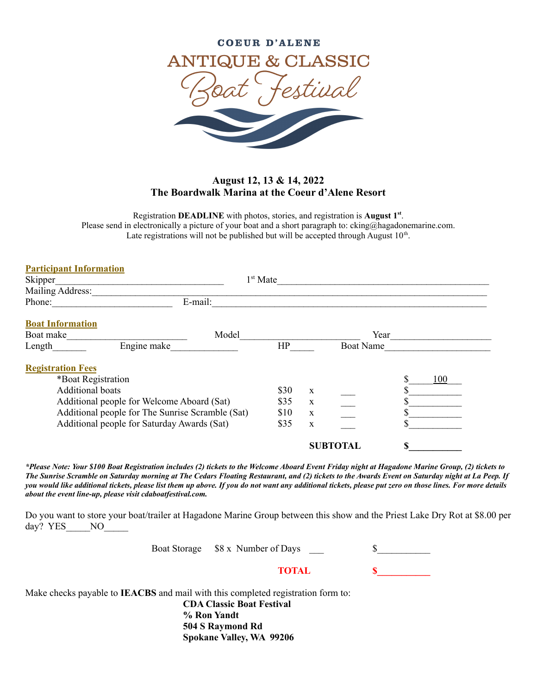

## **August 12, 13 & 14, 2022 The Boardwalk Marina at the Coeur d'Alene Resort**

Registration **DEADLINE** with photos, stories, and registration is **August 1 st** . Please send in electronically a picture of your boat and a short paragraph to: cking@hagadonemarine.com. Late registrations will not be published but will be accepted through August  $10<sup>th</sup>$ .

| <b>Participant Information</b>                   |            |      |             |                  |  |     |  |
|--------------------------------------------------|------------|------|-------------|------------------|--|-----|--|
| Skipper                                          | $1st$ Mate |      |             |                  |  |     |  |
| Mailing Address:                                 |            |      |             |                  |  |     |  |
| Phone:                                           | E-mail:    |      |             |                  |  |     |  |
| <b>Boat Information</b>                          |            |      |             |                  |  |     |  |
| Boat make                                        | Model      |      |             | Year             |  |     |  |
| Engine make<br>Length                            |            | HP   |             | <b>Boat Name</b> |  |     |  |
| <b>Registration Fees</b>                         |            |      |             |                  |  |     |  |
| *Boat Registration                               |            |      |             |                  |  | 100 |  |
| <b>Additional boats</b>                          |            | \$30 | $\mathbf X$ |                  |  |     |  |
| Additional people for Welcome Aboard (Sat)       |            | \$35 | X           |                  |  |     |  |
| Additional people for The Sunrise Scramble (Sat) |            | \$10 | $\mathbf X$ |                  |  |     |  |
| Additional people for Saturday Awards (Sat)      |            | \$35 | $\mathbf X$ |                  |  |     |  |
|                                                  |            |      |             | <b>SUBTOTAL</b>  |  |     |  |

*\*Please Note: Your \$100 Boat Registration includes (2) tickets to the Welcome Aboard Event Friday night at Hagadone Marine Group, (2) tickets to The Sunrise Scramble on Saturday morning at The Cedars Floating Restaurant, and (2) tickets to the Awards Event on Saturday night at La Peep. If you would like additional tickets, please list them up above. If you do not want any additional tickets, please put zero on those lines. For more details about the event line-up, please visit cdaboatfestival.com.*

Do you want to store your boat/trailer at Hagadone Marine Group between this show and the Priest Lake Dry Rot at \$8.00 per day? YES NO

| Boat Storage \$8 x Number of Days |  |
|-----------------------------------|--|
|                                   |  |

**TOTAL \$\_\_\_\_\_\_\_\_\_\_\_**

Make checks payable to **IEACBS** and mail with this completed registration form to:

**CDA Classic Boat Festival % Ron Yandt 504 S Raymond Rd Spokane Valley, WA 99206**